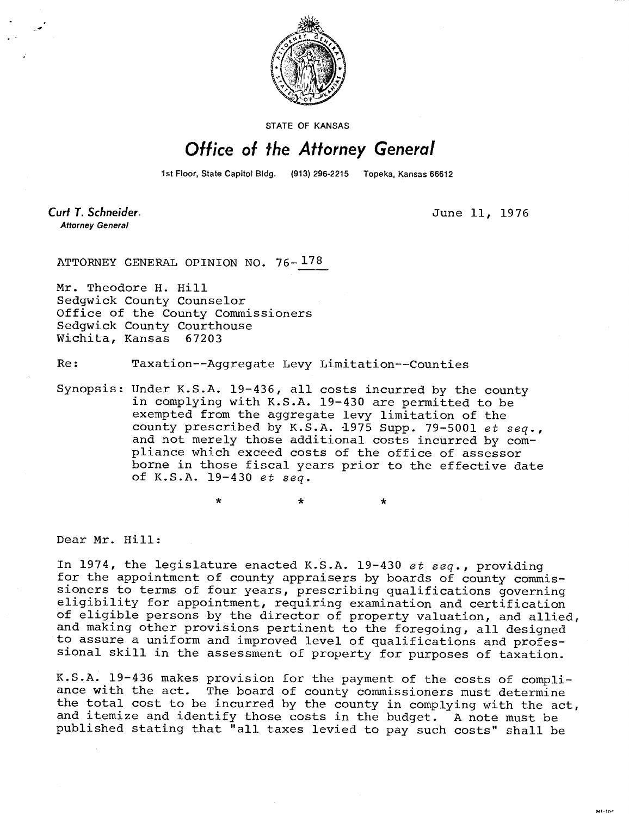

STATE OF KANSAS

## Office of the Attorney General

1st Floor, State Capitol Bldg. (913) 296-2215 Topeka, Kansas 66612

Curt T. Schneider. **Attorney General** 

June 11, 1976

ATTORNEY GENERAL OPINION NO. 76- 178

Mr. Theodore H. Hill Sedgwick County Counselor Office of the County Commissioners Sedgwick County Courthouse Wichita, Kansas 67203

 $\ddot{\textbf{x}}$ 

Re: Taxation--Aggregate Levy Limitation--Counties

Synopsis: Under K.S.A. 19-436, all costs incurred by the county in complying with K.S.A. 19-430 are permitted to be exempted from the aggregate levy limitation of the county prescribed by K.S.A. 1975 Supp. 79-5001 et seq., and not merely those additional costs incurred by compliance which exceed costs of the office of assessor borne in those fiscal years prior to the effective date of K.S.A. 19-430 et seq.

Dear Mr. Hill:

In 1974, the legislature enacted K.S.A. 19-430 et seq., providing for the appointment of county appraisers by boards of county commissioners to terms of four years, prescribing qualifications governing eligibility for appointment, requiring examination and certification of eligible persons by the director of property valuation, and allied, and making other provisions pertinent to the foregoing, all designed to assure a uniform and improved level of qualifications and professional skill in the assessment of property for purposes of taxation.

K.S.A. 19-436 makes provision for the payment of the costs of compliance with the act. The board of county commissioners must determine the total cost to be incurred by the county in complying with the act, and itemize and identify those costs in the budget. A note must be published stating that "all taxes levied to pay such costs" shall be